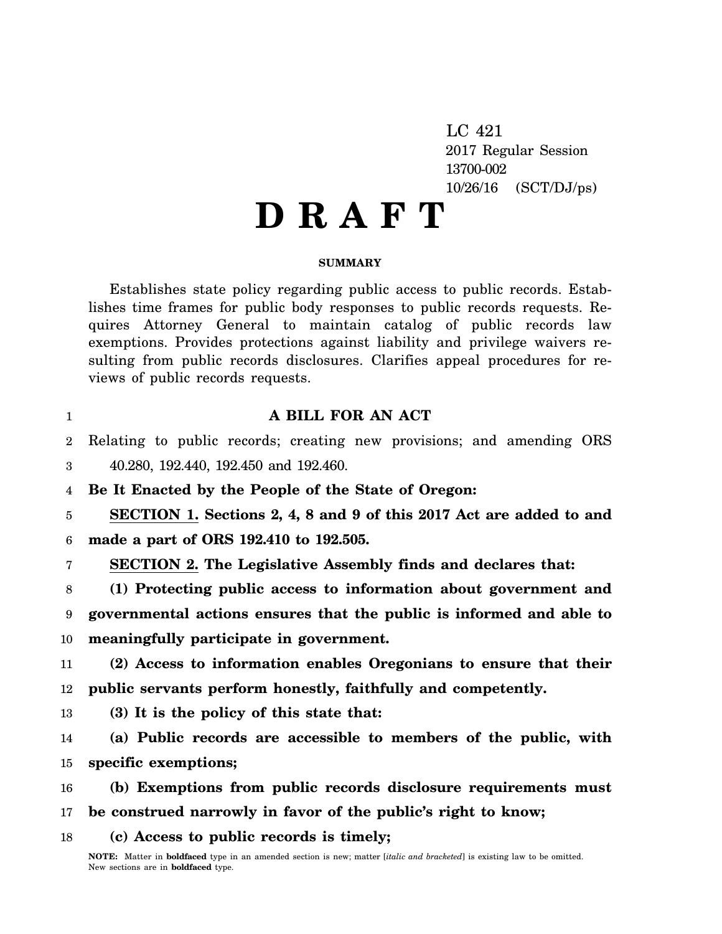LC 421 2017 Regular Session 13700-002 10/26/16 (SCT/DJ/ps)

# **D R A F T**

### **SUMMARY**

Establishes state policy regarding public access to public records. Establishes time frames for public body responses to public records requests. Requires Attorney General to maintain catalog of public records law exemptions. Provides protections against liability and privilege waivers resulting from public records disclosures. Clarifies appeal procedures for reviews of public records requests.

# **A BILL FOR AN ACT**

2 Relating to public records; creating new provisions; and amending ORS

3 40.280, 192.440, 192.450 and 192.460.

1

4 **Be It Enacted by the People of the State of Oregon:**

5 6 **SECTION 1. Sections 2, 4, 8 and 9 of this 2017 Act are added to and made a part of ORS 192.410 to 192.505.**

7 **SECTION 2. The Legislative Assembly finds and declares that:**

8 9 10 **(1) Protecting public access to information about government and governmental actions ensures that the public is informed and able to meaningfully participate in government.**

11 12 **(2) Access to information enables Oregonians to ensure that their public servants perform honestly, faithfully and competently.**

13 **(3) It is the policy of this state that:**

14 15 **(a) Public records are accessible to members of the public, with specific exemptions;**

16 17 **(b) Exemptions from public records disclosure requirements must be construed narrowly in favor of the public's right to know;**

18 **(c) Access to public records is timely;**

**NOTE:** Matter in **boldfaced** type in an amended section is new; matter [*italic and bracketed*] is existing law to be omitted. New sections are in **boldfaced** type.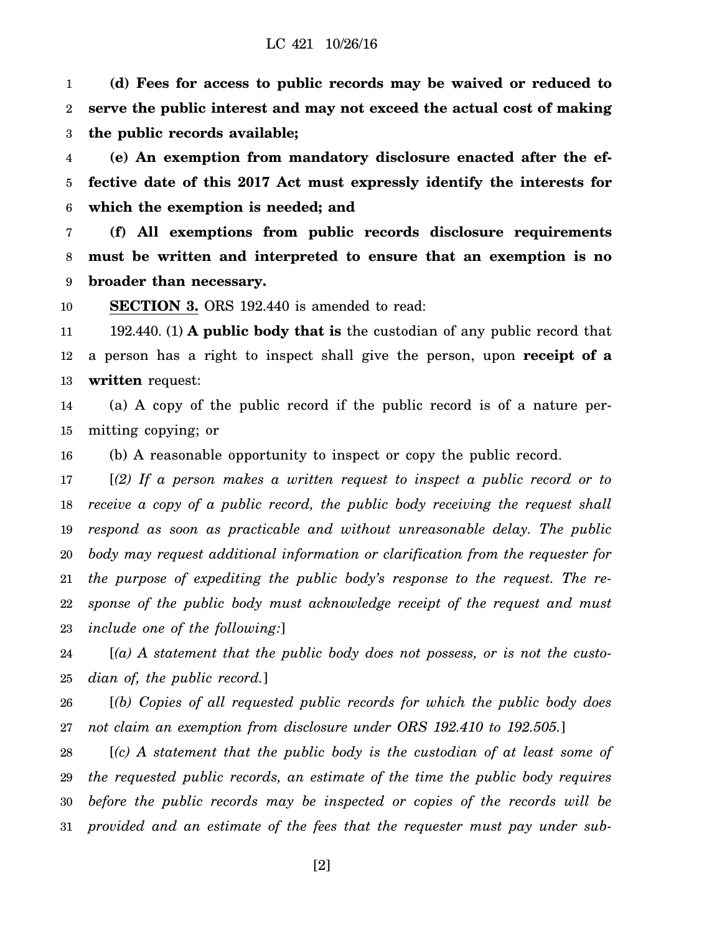#### LC 421 10/26/16

1 2 3 **(d) Fees for access to public records may be waived or reduced to serve the public interest and may not exceed the actual cost of making the public records available;**

4 5 6 **(e) An exemption from mandatory disclosure enacted after the effective date of this 2017 Act must expressly identify the interests for which the exemption is needed; and**

7 8 9 **(f) All exemptions from public records disclosure requirements must be written and interpreted to ensure that an exemption is no broader than necessary.**

10 **SECTION 3.** ORS 192.440 is amended to read:

11 12 13 192.440. (1) **A public body that is** the custodian of any public record that a person has a right to inspect shall give the person, upon **receipt of a written** request:

14 15 (a) A copy of the public record if the public record is of a nature permitting copying; or

16 (b) A reasonable opportunity to inspect or copy the public record.

17 18 19 20 21 22 23 [*(2) If a person makes a written request to inspect a public record or to receive a copy of a public record, the public body receiving the request shall respond as soon as practicable and without unreasonable delay. The public body may request additional information or clarification from the requester for the purpose of expediting the public body's response to the request. The response of the public body must acknowledge receipt of the request and must include one of the following:*]

24 25 [*(a) A statement that the public body does not possess, or is not the custodian of, the public record.*]

26 27 [*(b) Copies of all requested public records for which the public body does not claim an exemption from disclosure under ORS 192.410 to 192.505.*]

28 29 30 31 [*(c) A statement that the public body is the custodian of at least some of the requested public records, an estimate of the time the public body requires before the public records may be inspected or copies of the records will be provided and an estimate of the fees that the requester must pay under sub-*

[2]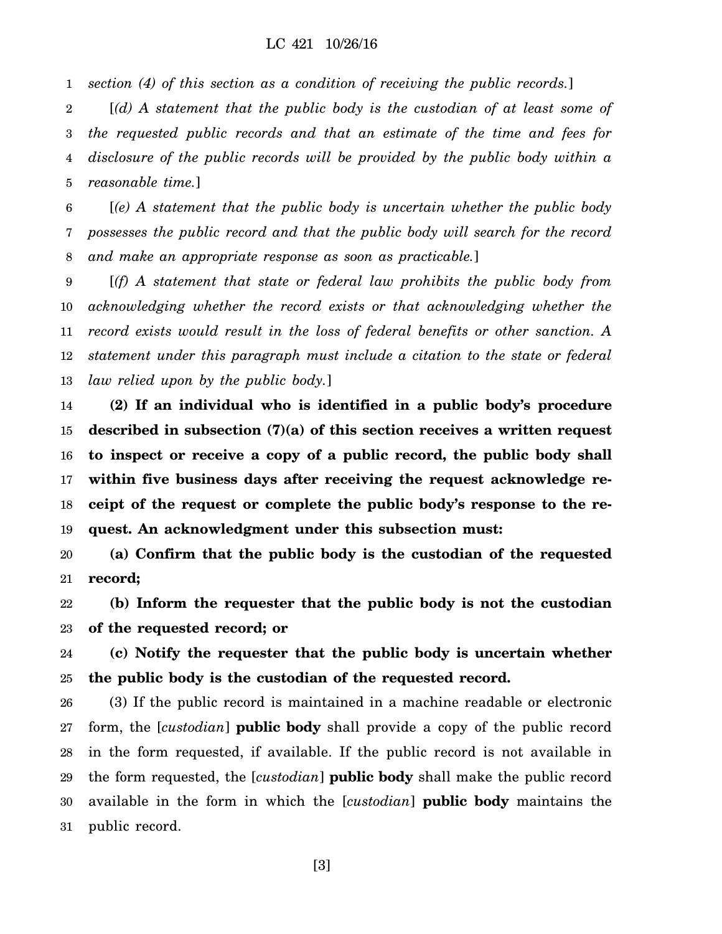1 *section (4) of this section as a condition of receiving the public records.*]

2 3 4 5 [*(d) A statement that the public body is the custodian of at least some of the requested public records and that an estimate of the time and fees for disclosure of the public records will be provided by the public body within a reasonable time.*]

6 7 8 [*(e) A statement that the public body is uncertain whether the public body possesses the public record and that the public body will search for the record and make an appropriate response as soon as practicable.*]

9 10 11 12 13 [*(f) A statement that state or federal law prohibits the public body from acknowledging whether the record exists or that acknowledging whether the record exists would result in the loss of federal benefits or other sanction. A statement under this paragraph must include a citation to the state or federal law relied upon by the public body.*]

14 15 16 17 18 19 **(2) If an individual who is identified in a public body's procedure described in subsection (7)(a) of this section receives a written request to inspect or receive a copy of a public record, the public body shall within five business days after receiving the request acknowledge receipt of the request or complete the public body's response to the request. An acknowledgment under this subsection must:**

20 21 **(a) Confirm that the public body is the custodian of the requested record;**

22 23 **(b) Inform the requester that the public body is not the custodian of the requested record; or**

24 25 **(c) Notify the requester that the public body is uncertain whether the public body is the custodian of the requested record.**

26 27 28 29 30 31 (3) If the public record is maintained in a machine readable or electronic form, the [*custodian*] **public body** shall provide a copy of the public record in the form requested, if available. If the public record is not available in the form requested, the [*custodian*] **public body** shall make the public record available in the form in which the [*custodian*] **public body** maintains the public record.

[3]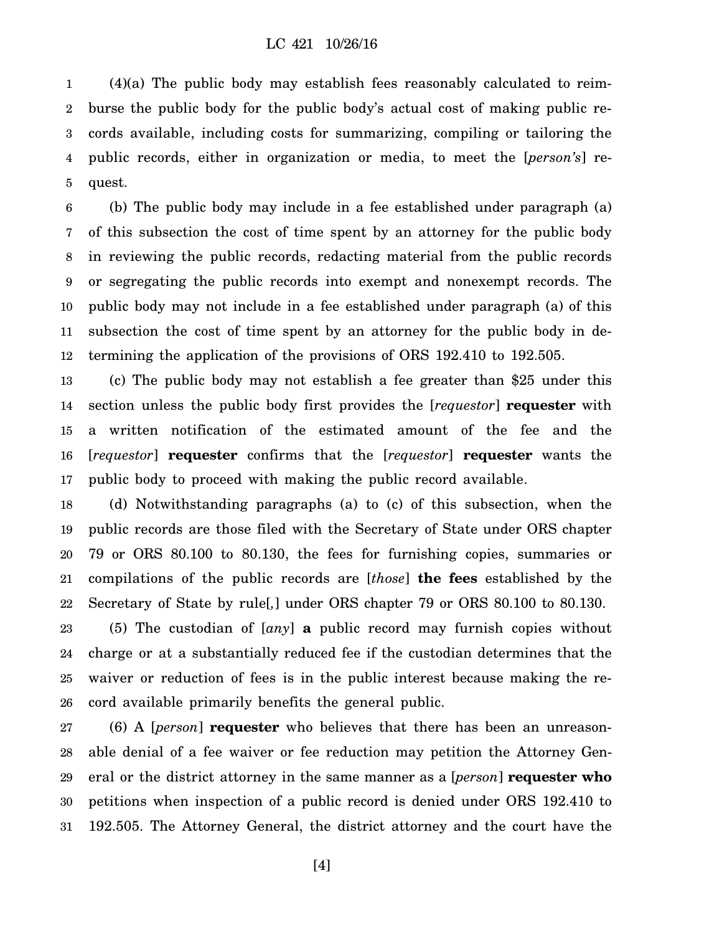1 2 3 4 5 (4)(a) The public body may establish fees reasonably calculated to reimburse the public body for the public body's actual cost of making public records available, including costs for summarizing, compiling or tailoring the public records, either in organization or media, to meet the [*person's*] request.

6 7 8 9 10 11 12 (b) The public body may include in a fee established under paragraph (a) of this subsection the cost of time spent by an attorney for the public body in reviewing the public records, redacting material from the public records or segregating the public records into exempt and nonexempt records. The public body may not include in a fee established under paragraph (a) of this subsection the cost of time spent by an attorney for the public body in determining the application of the provisions of ORS 192.410 to 192.505.

13 14 15 16 17 (c) The public body may not establish a fee greater than \$25 under this section unless the public body first provides the [*requestor*] **requester** with a written notification of the estimated amount of the fee and the [*requestor*] **requester** confirms that the [*requestor*] **requester** wants the public body to proceed with making the public record available.

18 19 20 21 22 (d) Notwithstanding paragraphs (a) to (c) of this subsection, when the public records are those filed with the Secretary of State under ORS chapter 79 or ORS 80.100 to 80.130, the fees for furnishing copies, summaries or compilations of the public records are [*those*] **the fees** established by the Secretary of State by rule[*,*] under ORS chapter 79 or ORS 80.100 to 80.130.

23 24 25 26 (5) The custodian of [*any*] **a** public record may furnish copies without charge or at a substantially reduced fee if the custodian determines that the waiver or reduction of fees is in the public interest because making the record available primarily benefits the general public.

27 28 29 30 31 (6) A [*person*] **requester** who believes that there has been an unreasonable denial of a fee waiver or fee reduction may petition the Attorney General or the district attorney in the same manner as a [*person*] **requester who** petitions when inspection of a public record is denied under ORS 192.410 to 192.505. The Attorney General, the district attorney and the court have the

[4]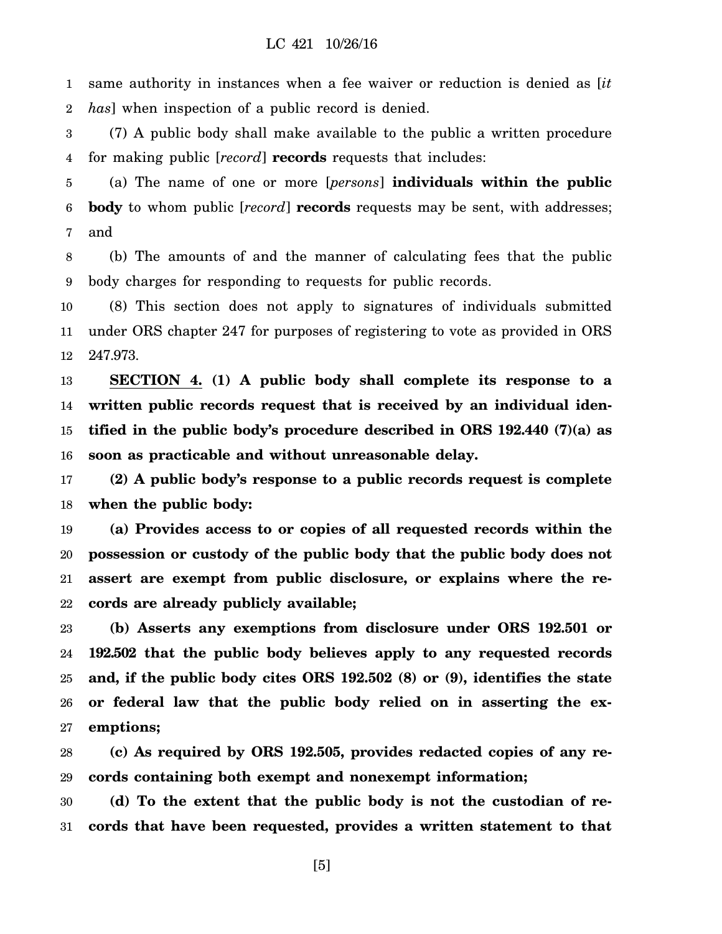1 2 same authority in instances when a fee waiver or reduction is denied as [*it has*] when inspection of a public record is denied.

3 4 (7) A public body shall make available to the public a written procedure for making public [*record*] **records** requests that includes:

5 6 7 (a) The name of one or more [*persons*] **individuals within the public body** to whom public [*record*] **records** requests may be sent, with addresses; and

8 9 (b) The amounts of and the manner of calculating fees that the public body charges for responding to requests for public records.

10 11 12 (8) This section does not apply to signatures of individuals submitted under ORS chapter 247 for purposes of registering to vote as provided in ORS 247.973.

13 14 15 16 **SECTION 4. (1) A public body shall complete its response to a written public records request that is received by an individual identified in the public body's procedure described in ORS 192.440 (7)(a) as soon as practicable and without unreasonable delay.**

17 18 **(2) A public body's response to a public records request is complete when the public body:**

19 20 21 22 **(a) Provides access to or copies of all requested records within the possession or custody of the public body that the public body does not assert are exempt from public disclosure, or explains where the records are already publicly available;**

23 24 25 26 27 **(b) Asserts any exemptions from disclosure under ORS 192.501 or 192.502 that the public body believes apply to any requested records and, if the public body cites ORS 192.502 (8) or (9), identifies the state or federal law that the public body relied on in asserting the exemptions;**

28 29 **(c) As required by ORS 192.505, provides redacted copies of any records containing both exempt and nonexempt information;**

30 31 **(d) To the extent that the public body is not the custodian of records that have been requested, provides a written statement to that**

[5]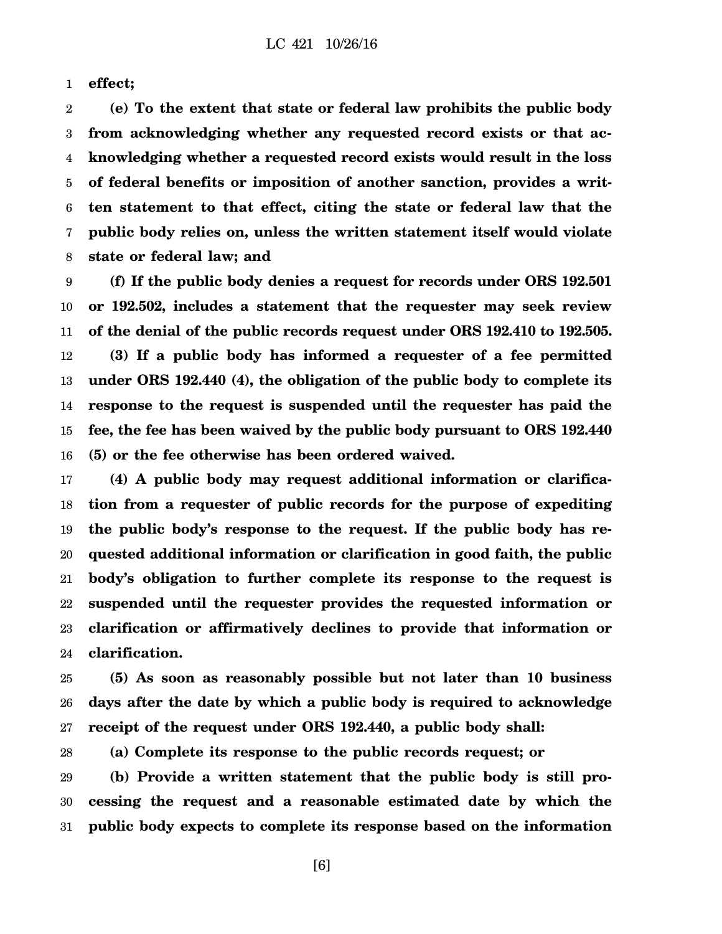1 **effect;**

2 3 4 5 6 7 8 **(e) To the extent that state or federal law prohibits the public body from acknowledging whether any requested record exists or that acknowledging whether a requested record exists would result in the loss of federal benefits or imposition of another sanction, provides a written statement to that effect, citing the state or federal law that the public body relies on, unless the written statement itself would violate state or federal law; and**

9 10 11 12 13 14 15 16 **(f) If the public body denies a request for records under ORS 192.501 or 192.502, includes a statement that the requester may seek review of the denial of the public records request under ORS 192.410 to 192.505. (3) If a public body has informed a requester of a fee permitted under ORS 192.440 (4), the obligation of the public body to complete its response to the request is suspended until the requester has paid the fee, the fee has been waived by the public body pursuant to ORS 192.440 (5) or the fee otherwise has been ordered waived.**

17 18 19 20 21 22 23 24 **(4) A public body may request additional information or clarification from a requester of public records for the purpose of expediting the public body's response to the request. If the public body has requested additional information or clarification in good faith, the public body's obligation to further complete its response to the request is suspended until the requester provides the requested information or clarification or affirmatively declines to provide that information or clarification.**

25 26 27 **(5) As soon as reasonably possible but not later than 10 business days after the date by which a public body is required to acknowledge receipt of the request under ORS 192.440, a public body shall:**

28 **(a) Complete its response to the public records request; or**

29 30 31 **(b) Provide a written statement that the public body is still processing the request and a reasonable estimated date by which the public body expects to complete its response based on the information**

[6]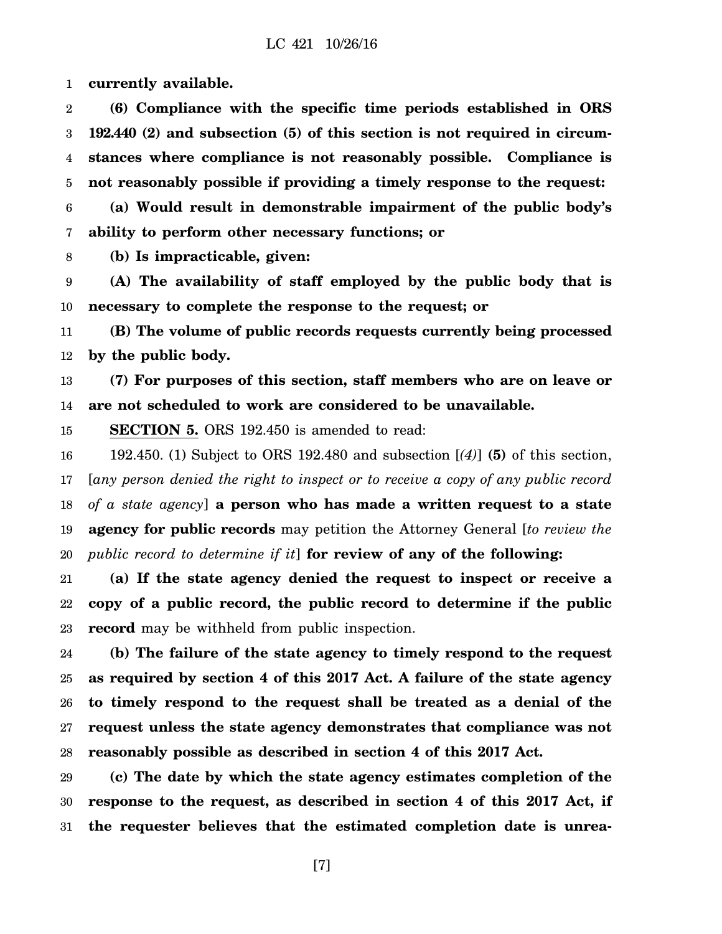1 **currently available.**

2 3 4 5 **(6) Compliance with the specific time periods established in ORS 192.440 (2) and subsection (5) of this section is not required in circumstances where compliance is not reasonably possible. Compliance is not reasonably possible if providing a timely response to the request:**

6 7 **(a) Would result in demonstrable impairment of the public body's ability to perform other necessary functions; or**

8 **(b) Is impracticable, given:**

9 10 **(A) The availability of staff employed by the public body that is necessary to complete the response to the request; or**

11 12 **(B) The volume of public records requests currently being processed by the public body.**

13 14 **(7) For purposes of this section, staff members who are on leave or are not scheduled to work are considered to be unavailable.**

15 **SECTION 5.** ORS 192.450 is amended to read:

16 17 18 19 20 192.450. (1) Subject to ORS 192.480 and subsection [*(4)*] **(5)** of this section, [*any person denied the right to inspect or to receive a copy of any public record of a state agency*] **a person who has made a written request to a state agency for public records** may petition the Attorney General [*to review the public record to determine if it*] **for review of any of the following:**

21 22 23 **(a) If the state agency denied the request to inspect or receive a copy of a public record, the public record to determine if the public record** may be withheld from public inspection.

24 25 26 27 28 **(b) The failure of the state agency to timely respond to the request as required by section 4 of this 2017 Act. A failure of the state agency to timely respond to the request shall be treated as a denial of the request unless the state agency demonstrates that compliance was not reasonably possible as described in section 4 of this 2017 Act.**

29 30 31 **(c) The date by which the state agency estimates completion of the response to the request, as described in section 4 of this 2017 Act, if the requester believes that the estimated completion date is unrea-**

[7]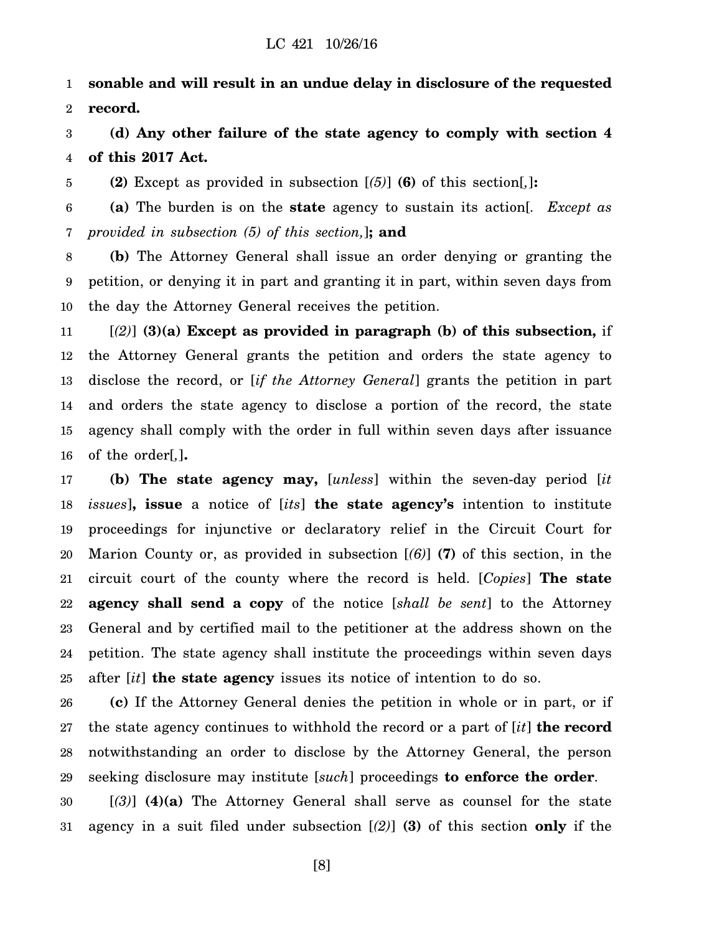1 2 **sonable and will result in an undue delay in disclosure of the requested record.**

3 4 **(d) Any other failure of the state agency to comply with section 4 of this 2017 Act.**

5 **(2)** Except as provided in subsection [*(5)*] **(6)** of this section[*,*]**:**

6 7 **(a)** The burden is on the **state** agency to sustain its action[*. Except as provided in subsection (5) of this section,*]**; and**

8 9 10 **(b)** The Attorney General shall issue an order denying or granting the petition, or denying it in part and granting it in part, within seven days from the day the Attorney General receives the petition.

11 12 13 14 15 16 [*(2)*] **(3)(a) Except as provided in paragraph (b) of this subsection,** if the Attorney General grants the petition and orders the state agency to disclose the record, or [*if the Attorney General*] grants the petition in part and orders the state agency to disclose a portion of the record, the state agency shall comply with the order in full within seven days after issuance of the order[*,*]**.**

17 18 19 20 21 22 23 24 25 **(b) The state agency may,** [*unless*] within the seven-day period [*it issues*]**, issue** a notice of [*its*] **the state agency's** intention to institute proceedings for injunctive or declaratory relief in the Circuit Court for Marion County or, as provided in subsection [*(6)*] **(7)** of this section, in the circuit court of the county where the record is held. [*Copies*] **The state agency shall send a copy** of the notice [*shall be sent*] to the Attorney General and by certified mail to the petitioner at the address shown on the petition. The state agency shall institute the proceedings within seven days after [*it*] **the state agency** issues its notice of intention to do so.

26 27 28 29 **(c)** If the Attorney General denies the petition in whole or in part, or if the state agency continues to withhold the record or a part of [*it*] **the record** notwithstanding an order to disclose by the Attorney General, the person seeking disclosure may institute [*such*] proceedings **to enforce the order**.

30 31 [*(3)*] **(4)(a)** The Attorney General shall serve as counsel for the state agency in a suit filed under subsection [*(2)*] **(3)** of this section **only** if the

[8]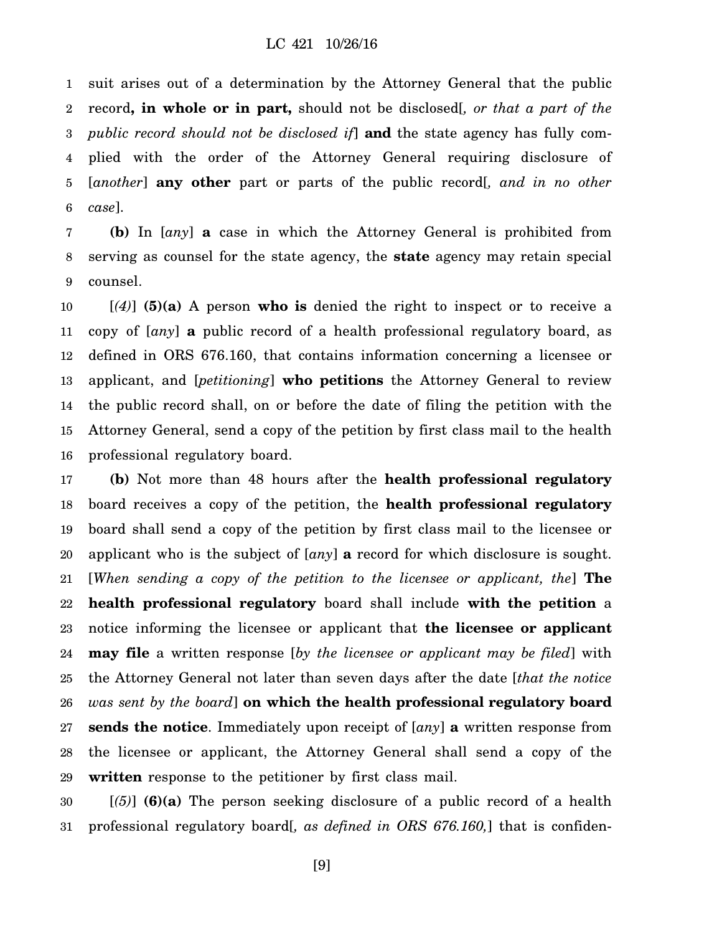1 2 3 4 5 6 suit arises out of a determination by the Attorney General that the public record**, in whole or in part,** should not be disclosed[*, or that a part of the public record should not be disclosed if*] **and** the state agency has fully complied with the order of the Attorney General requiring disclosure of [*another*] **any other** part or parts of the public record[*, and in no other case*].

7 8 9 **(b)** In [*any*] **a** case in which the Attorney General is prohibited from serving as counsel for the state agency, the **state** agency may retain special counsel.

10 11 12 13 14 15 16 [*(4)*] **(5)(a)** A person **who is** denied the right to inspect or to receive a copy of [*any*] **a** public record of a health professional regulatory board, as defined in ORS 676.160, that contains information concerning a licensee or applicant, and [*petitioning*] **who petitions** the Attorney General to review the public record shall, on or before the date of filing the petition with the Attorney General, send a copy of the petition by first class mail to the health professional regulatory board.

17 18 19 20 21 22 23 24 25 26 27 28 29 **(b)** Not more than 48 hours after the **health professional regulatory** board receives a copy of the petition, the **health professional regulatory** board shall send a copy of the petition by first class mail to the licensee or applicant who is the subject of [*any*] **a** record for which disclosure is sought. [*When sending a copy of the petition to the licensee or applicant, the*] **The health professional regulatory** board shall include **with the petition** a notice informing the licensee or applicant that **the licensee or applicant may file** a written response [*by the licensee or applicant may be filed*] with the Attorney General not later than seven days after the date [*that the notice was sent by the board*] **on which the health professional regulatory board sends the notice**. Immediately upon receipt of [*any*] **a** written response from the licensee or applicant, the Attorney General shall send a copy of the **written** response to the petitioner by first class mail.

30 31 [*(5)*] **(6)(a)** The person seeking disclosure of a public record of a health professional regulatory board[*, as defined in ORS 676.160,*] that is confiden-

[9]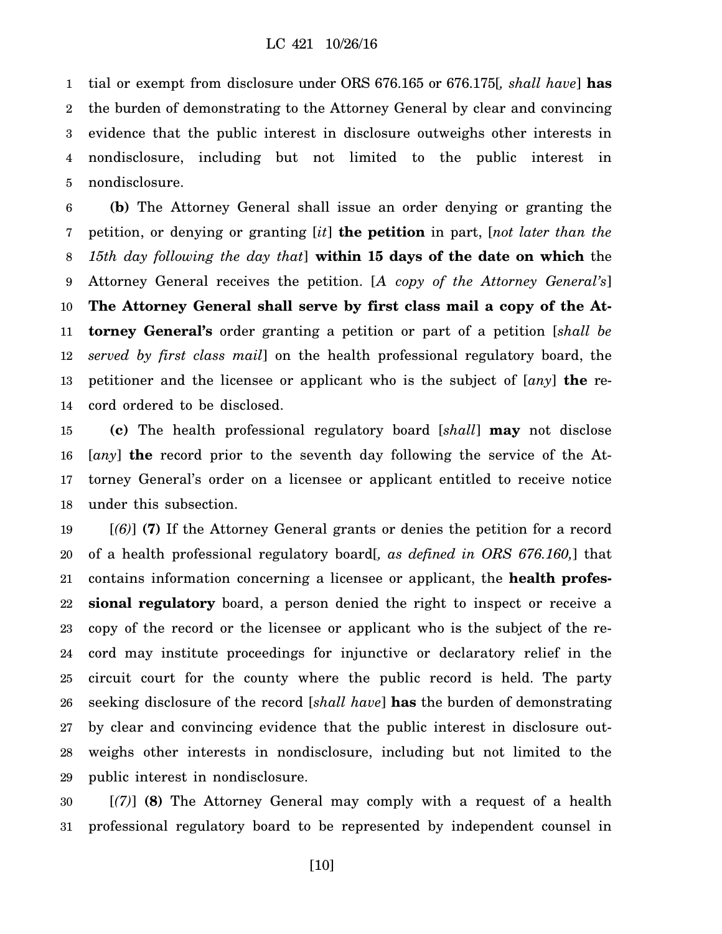1 2 3 4 5 tial or exempt from disclosure under ORS 676.165 or 676.175[*, shall have*] **has** the burden of demonstrating to the Attorney General by clear and convincing evidence that the public interest in disclosure outweighs other interests in nondisclosure, including but not limited to the public interest in nondisclosure.

6 7 8 9 10 11 12 13 14 **(b)** The Attorney General shall issue an order denying or granting the petition, or denying or granting [*it*] **the petition** in part, [*not later than the 15th day following the day that*] **within 15 days of the date on which** the Attorney General receives the petition. [*A copy of the Attorney General's*] **The Attorney General shall serve by first class mail a copy of the Attorney General's** order granting a petition or part of a petition [*shall be served by first class mail*] on the health professional regulatory board, the petitioner and the licensee or applicant who is the subject of [*any*] **the** record ordered to be disclosed.

15 16 17 18 **(c)** The health professional regulatory board [*shall*] **may** not disclose [*any*] **the** record prior to the seventh day following the service of the Attorney General's order on a licensee or applicant entitled to receive notice under this subsection.

19 20 21 22 23 24 25 26 27 28 29 [*(6)*] **(7)** If the Attorney General grants or denies the petition for a record of a health professional regulatory board[*, as defined in ORS 676.160,*] that contains information concerning a licensee or applicant, the **health professional regulatory** board, a person denied the right to inspect or receive a copy of the record or the licensee or applicant who is the subject of the record may institute proceedings for injunctive or declaratory relief in the circuit court for the county where the public record is held. The party seeking disclosure of the record [*shall have*] **has** the burden of demonstrating by clear and convincing evidence that the public interest in disclosure outweighs other interests in nondisclosure, including but not limited to the public interest in nondisclosure.

30 31 [*(7)*] **(8)** The Attorney General may comply with a request of a health professional regulatory board to be represented by independent counsel in

[10]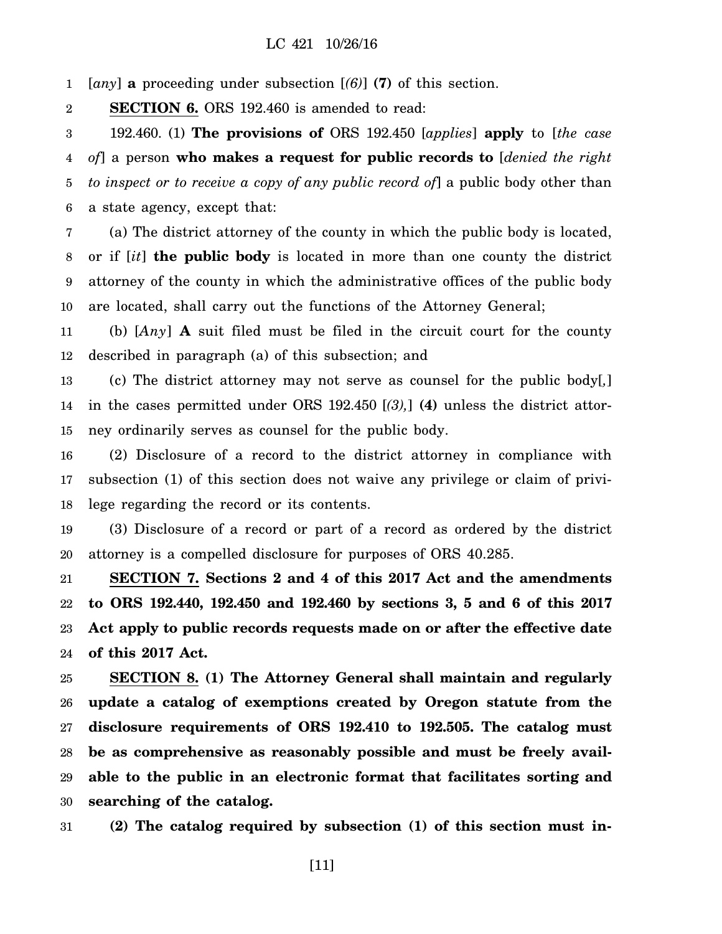1 [*any*] **a** proceeding under subsection [*(6)*] **(7)** of this section.

2 **SECTION 6.** ORS 192.460 is amended to read:

3 4 5 6 192.460. (1) **The provisions of** ORS 192.450 [*applies*] **apply** to [*the case of*] a person **who makes a request for public records to** [*denied the right to inspect or to receive a copy of any public record of*] a public body other than a state agency, except that:

7 8 9 10 (a) The district attorney of the county in which the public body is located, or if [*it*] **the public body** is located in more than one county the district attorney of the county in which the administrative offices of the public body are located, shall carry out the functions of the Attorney General;

11 12 (b) [*Any*] **A** suit filed must be filed in the circuit court for the county described in paragraph (a) of this subsection; and

13 14 15 (c) The district attorney may not serve as counsel for the public body[*,*] in the cases permitted under ORS 192.450 [*(3),*] **(4)** unless the district attorney ordinarily serves as counsel for the public body.

16 17 18 (2) Disclosure of a record to the district attorney in compliance with subsection (1) of this section does not waive any privilege or claim of privilege regarding the record or its contents.

19 20 (3) Disclosure of a record or part of a record as ordered by the district attorney is a compelled disclosure for purposes of ORS 40.285.

21 22 23 24 **SECTION 7. Sections 2 and 4 of this 2017 Act and the amendments to ORS 192.440, 192.450 and 192.460 by sections 3, 5 and 6 of this 2017 Act apply to public records requests made on or after the effective date of this 2017 Act.**

25 26 27 28 29 30 **SECTION 8. (1) The Attorney General shall maintain and regularly update a catalog of exemptions created by Oregon statute from the disclosure requirements of ORS 192.410 to 192.505. The catalog must be as comprehensive as reasonably possible and must be freely available to the public in an electronic format that facilitates sorting and searching of the catalog.**

31 **(2) The catalog required by subsection (1) of this section must in-**

[11]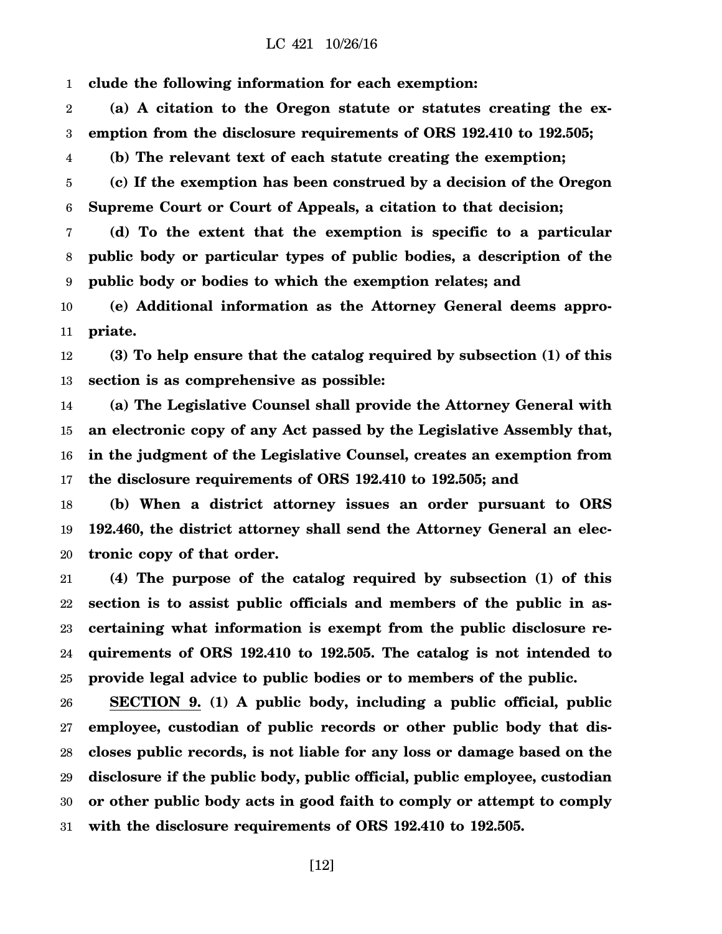1 **clude the following information for each exemption:**

2 3 **(a) A citation to the Oregon statute or statutes creating the exemption from the disclosure requirements of ORS 192.410 to 192.505;**

4 **(b) The relevant text of each statute creating the exemption;**

5 6 **(c) If the exemption has been construed by a decision of the Oregon Supreme Court or Court of Appeals, a citation to that decision;**

7 8 9 **(d) To the extent that the exemption is specific to a particular public body or particular types of public bodies, a description of the public body or bodies to which the exemption relates; and**

10 11 **(e) Additional information as the Attorney General deems appropriate.**

12 13 **(3) To help ensure that the catalog required by subsection (1) of this section is as comprehensive as possible:**

14 15 16 17 **(a) The Legislative Counsel shall provide the Attorney General with an electronic copy of any Act passed by the Legislative Assembly that, in the judgment of the Legislative Counsel, creates an exemption from the disclosure requirements of ORS 192.410 to 192.505; and**

18 19 20 **(b) When a district attorney issues an order pursuant to ORS 192.460, the district attorney shall send the Attorney General an electronic copy of that order.**

21 22 23 24 25 **(4) The purpose of the catalog required by subsection (1) of this section is to assist public officials and members of the public in ascertaining what information is exempt from the public disclosure requirements of ORS 192.410 to 192.505. The catalog is not intended to provide legal advice to public bodies or to members of the public.**

26 27 28 29 30 31 **SECTION 9. (1) A public body, including a public official, public employee, custodian of public records or other public body that discloses public records, is not liable for any loss or damage based on the disclosure if the public body, public official, public employee, custodian or other public body acts in good faith to comply or attempt to comply with the disclosure requirements of ORS 192.410 to 192.505.**

[12]